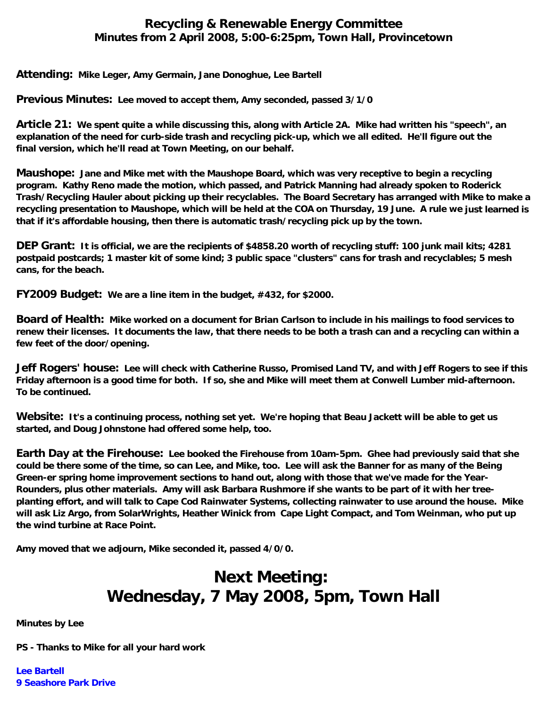## **Recycling & Renewable Energy Committee Minutes from 2 April 2008, 5:00-6:25pm, Town Hall, Provincetown**

**Attending: Mike Leger, Amy Germain, Jane Donoghue, Lee Bartell**

**Previous Minutes: Lee moved to accept them, Amy seconded, passed 3/1/0**

**Article 21: We spent quite a while discussing this, along with Article 2A. Mike had written his "speech", an explanation of the need for curb-side trash and recycling pick-up, which we all edited. He'll figure out the final version, which he'll read at Town Meeting, on our behalf.**

**Maushope: Jane and Mike met with the Maushope Board, which was very receptive to begin a recycling program. Kathy Reno made the motion, which passed, and Patrick Manning had already spoken to Roderick Trash/Recycling Hauler about picking up their recyclables. The Board Secretary has arranged with Mike to make a recycling presentation to Maushope, which will be held at the COA on Thursday, 19 June. A rule we just learned is that if it's affordable housing, then there is automatic trash/recycling pick up by the town.**

**DEP Grant: It is official, we are the recipients of \$4858.20 worth of recycling stuff: 100 junk mail kits; 4281 postpaid postcards; 1 master kit of some kind; 3 public space "clusters" cans for trash and recyclables; 5 mesh cans, for the beach.**

**FY2009 Budget: We are a line item in the budget, #432, for \$2000.**

**Board of Health: Mike worked on a document for Brian Carlson to include in his mailings to food services to renew their licenses. It documents the law, that there needs to be both a trash can and a recycling can within a few feet of the door/opening.**

**Jeff Rogers' house: Lee will check with Catherine Russo, Promised Land TV, and with Jeff Rogers to see if this Friday afternoon is a good time for both. If so, she and Mike will meet them at Conwell Lumber mid-afternoon. To be continued.**

**Website: It's a continuing process, nothing set yet. We're hoping that Beau Jackett will be able to get us started, and Doug Johnstone had offered some help, too.**

**Earth Day at the Firehouse: Lee booked the Firehouse from 10am-5pm. Ghee had previously said that she could be there some of the time, so can Lee, and Mike, too. Lee will ask the Banner for as many of the Being Green-er spring home improvement sections to hand out, along with those that we've made for the Year-Rounders, plus other materials. Amy will ask Barbara Rushmore if she wants to be part of it with her treeplanting effort, and will talk to Cape Cod Rainwater Systems, collecting rainwater to use around the house. Mike will ask Liz Argo, from SolarWrights, Heather Winick from Cape Light Compact, and Tom Weinman, who put up the wind turbine at Race Point.**

**Amy moved that we adjourn, Mike seconded it, passed 4/0/0.**

## **Next Meeting: Wednesday, 7 May 2008, 5pm, Town Hall**

**Minutes by Lee**

**PS - Thanks to Mike for all your hard work**

**Lee Bartell 9 Seashore Park Drive**